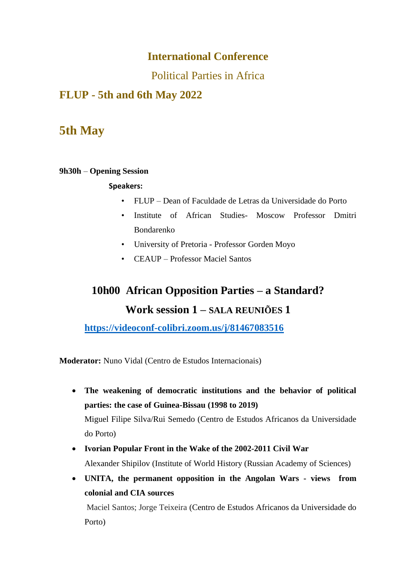### **International Conference**

Political Parties in Africa

### **FLUP - 5th and 6th May 2022**

### **5th May**

#### **9h30h** – **Opening Session**

#### **Speakers:**

- FLUP Dean of Faculdade de Letras da Universidade do Porto
- Institute of African Studies- Moscow Professor Dmitri Bondarenko
- University of Pretoria Professor Gorden Moyo
- CEAUP Professor Maciel Santos

# **10h00 African Opposition Parties – a Standard? Work session 1 – SALA REUNIÕES 1**

**<https://videoconf-colibri.zoom.us/j/81467083516>**

**Moderator:** Nuno Vidal (Centro de Estudos Internacionais)

• **The weakening of democratic institutions and the behavior of political parties: the case of Guinea-Bissau (1998 to 2019)**

Miguel Filipe Silva/Rui Semedo (Centro de Estudos Africanos da Universidade do Porto)

- **Ivorian Popular Front in the Wake of the 2002-2011 Civil War** Alexander Shipilov (Institute of World History (Russian Academy of Sciences)
- **UNITA, the permanent opposition in the Angolan Wars - views from colonial and CIA sources**

Maciel Santos; Jorge Teixeira (Centro de Estudos Africanos da Universidade do Porto)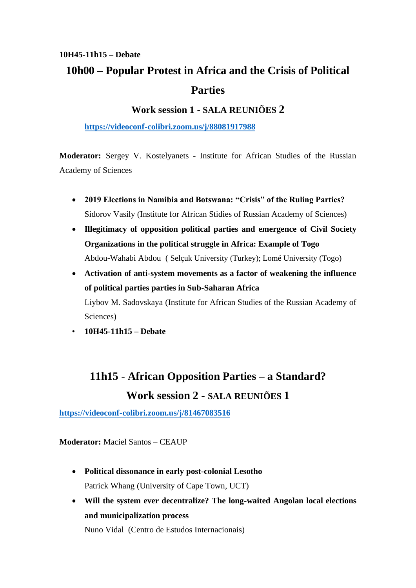### **10H45-11h15 – Debate 10h00 – Popular Protest in Africa and the Crisis of Political Parties**

#### **Work session 1 - SALA REUNIÕES 2**

**<https://videoconf-colibri.zoom.us/j/88081917988>**

**Moderator:** Sergey V. Kostelyanets - Institute for African Studies of the Russian Academy of Sciences

- **2019 Elections in Namibia and Botswana: "Crisis" of the Ruling Parties?** Sidorov Vasily (Institute for African Stidies of Russian Academy of Sciences)
- **Illegitimacy of opposition political parties and emergence of Civil Society Organizations in the political struggle in Africa: Example of Togo** Abdou-Wahabi Abdou ( Selçuk University (Turkey); Lomé University (Togo)
- **Activation of anti-system movements as a factor of weakening the influence of political parties parties in Sub-Saharan Africa** Liybov M. Sadovskaya (Institute for African Studies of the Russian Academy of Sciences)
- **10H45-11h15 – Debate**

# **11h15 - African Opposition Parties – a Standard? Work session 2 - SALA REUNIÕES 1**

**<https://videoconf-colibri.zoom.us/j/81467083516>**

**Moderator:** Maciel Santos – CEAUP

- **Political dissonance in early post-colonial Lesotho** Patrick Whang (University of Cape Town, UCT)
- **Will the system ever decentralize? The long-waited Angolan local elections and municipalization process**

Nuno Vidal (Centro de Estudos Internacionais)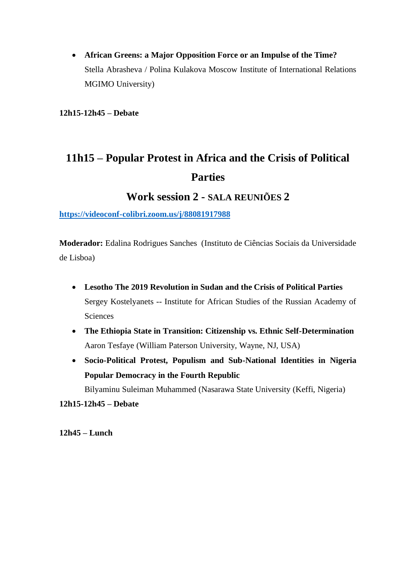• **African Greens: a Major Opposition Force or an Impulse of the Time?** Stella Abrasheva / Polina Kulakova Moscow Institute of International Relations MGIMO University)

**12h15-12h45 – Debate**

# **11h15 – Popular Protest in Africa and the Crisis of Political Parties**

### **Work session 2 - SALA REUNIÕES 2**

**<https://videoconf-colibri.zoom.us/j/88081917988>**

**Moderador:** Edalina Rodrigues Sanches (Instituto de Ciências Sociais da Universidade de Lisboa)

- **Lesotho The 2019 Revolution in Sudan and the Crisis of Political Parties** Sergey Kostelyanets -- Institute for African Studies of the Russian Academy of **Sciences**
- **The Ethiopia State in Transition: Citizenship vs. Ethnic Self-Determination** Aaron Tesfaye (William Paterson University, Wayne, NJ, USA)
- **Socio-Political Protest, Populism and Sub-National Identities in Nigeria Popular Democracy in the Fourth Republic**

Bilyaminu Suleiman Muhammed (Nasarawa State University (Keffi, Nigeria)

**12h15-12h45 – Debate**

**12h45 – Lunch**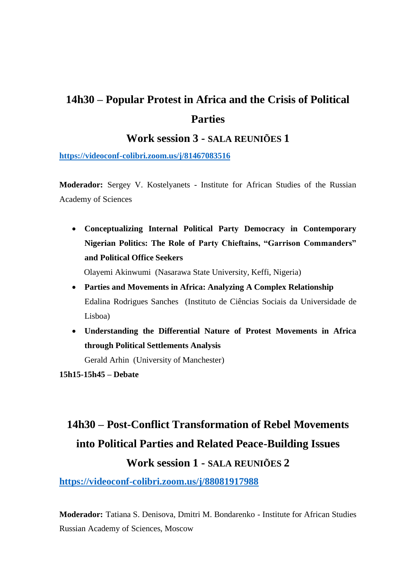### **14h30 – Popular Protest in Africa and the Crisis of Political Parties**

### **Work session 3 - SALA REUNIÕES 1**

**<https://videoconf-colibri.zoom.us/j/81467083516>**

**Moderador:** Sergey V. Kostelyanets - Institute for African Studies of the Russian Academy of Sciences

• **Conceptualizing Internal Political Party Democracy in Contemporary Nigerian Politics: The Role of Party Chieftains, "Garrison Commanders" and Political Office Seekers**

Olayemi Akinwumi (Nasarawa State University, Keffi, Nigeria)

- **Parties and Movements in Africa: Analyzing A Complex Relationship** Edalina Rodrigues Sanches (Instituto de Ciências Sociais da Universidade de Lisboa)
- **Understanding the Differential Nature of Protest Movements in Africa through Political Settlements Analysis**

Gerald Arhin (University of Manchester)

**15h15-15h45 – Debate**

# **14h30 – Post-Conflict Transformation of Rebel Movements into Political Parties and Related Peace-Building Issues Work session 1 - SALA REUNIÕES 2**

**<https://videoconf-colibri.zoom.us/j/88081917988>**

**Moderador:** Tatiana S. Denisova, Dmitri M. Bondarenko - Institute for African Studies Russian Academy of Sciences, Moscow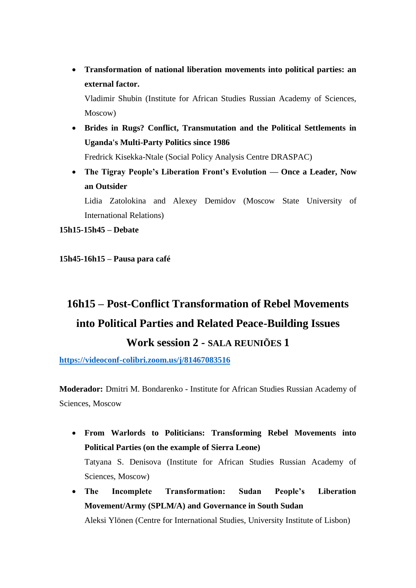• **Transformation of national liberation movements into political parties: an external factor.**

Vladimir Shubin (Institute for African Studies Russian Academy of Sciences, Moscow)

• **Brides in Rugs? Conflict, Transmutation and the Political Settlements in Uganda's Multi-Party Politics since 1986**

Fredrick Kisekka-Ntale (Social Policy Analysis Centre DRASPAC)

• **The Tigray People's Liberation Front's Evolution — Once a Leader, Now an Outsider**

Lidia Zatolokina and Alexey Demidov (Moscow State University of International Relations)

**15h15-15h45 – Debate**

**15h45-16h15 – Pausa para café**

# **16h15 – Post-Conflict Transformation of Rebel Movements into Political Parties and Related Peace-Building Issues Work session 2 - SALA REUNIÕES 1**

**<https://videoconf-colibri.zoom.us/j/81467083516>**

**Moderador:** Dmitri M. Bondarenko - Institute for African Studies Russian Academy of Sciences, Moscow

- **From Warlords to Politicians: Transforming Rebel Movements into Political Parties (on the example of Sierra Leone)** Tatyana S. Denisova (Institute for African Studies Russian Academy of Sciences, Moscow)
- **The Incomplete Transformation: Sudan People's Liberation Movement/Army (SPLM/A) and Governance in South Sudan** Aleksi Ylönen (Centre for International Studies, University Institute of Lisbon)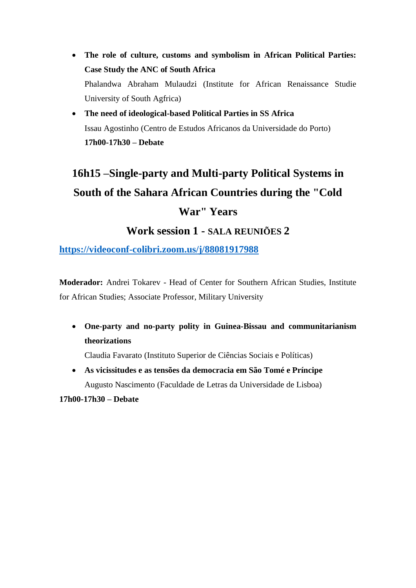- **The role of culture, customs and symbolism in African Political Parties: Case Study the ANC of South Africa** Phalandwa Abraham Mulaudzi (Institute for African Renaissance Studie University of South Agfrica)
- **The need of ideological-based Political Parties in SS Africa** Issau Agostinho (Centro de Estudos Africanos da Universidade do Porto) **17h00-17h30 – Debate**

# **16h15 –Single-party and Multi-party Political Systems in South of the Sahara African Countries during the "Cold War" Years**

### **Work session 1 - SALA REUNIÕES 2**

**<https://videoconf-colibri.zoom.us/j/88081917988>**

**Moderador:** Andrei Tokarev - Head of Center for Southern African Studies, Institute for African Studies; Associate Professor, Military University

• **One-party and no-party polity in Guinea-Bissau and communitarianism theorizations**

Claudia Favarato (Instituto Superior de Ciências Sociais e Políticas)

• **As vicissitudes e as tensões da democracia em São Tomé e Príncipe** Augusto Nascimento (Faculdade de Letras da Universidade de Lisboa)

**17h00-17h30 – Debate**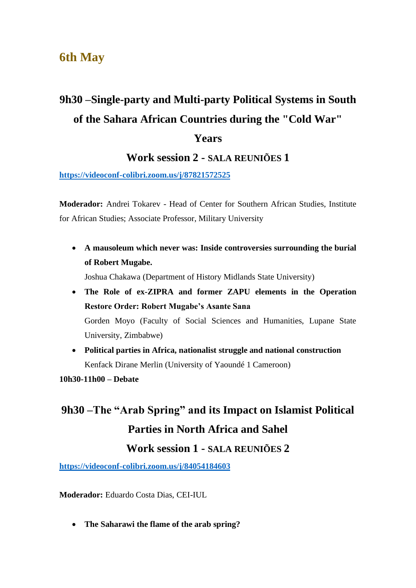### **6th May**

# **9h30 –Single-party and Multi-party Political Systems in South of the Sahara African Countries during the "Cold War"**

#### **Years**

### **Work session 2 - SALA REUNIÕES 1**

**<https://videoconf-colibri.zoom.us/j/87821572525>**

**Moderador:** Andrei Tokarev - Head of Center for Southern African Studies, Institute for African Studies; Associate Professor, Military University

• **A mausoleum which never was: Inside controversies surrounding the burial of Robert Mugabe.**

Joshua Chakawa (Department of History Midlands State University)

- **The Role of ex-ZIPRA and former ZAPU elements in the Operation Restore Order: Robert Mugabe's Asante Sana** Gorden Moyo (Faculty of Social Sciences and Humanities, Lupane State University, Zimbabwe)
- **Political parties in Africa, nationalist struggle and national construction** Kenfack Dirane Merlin (University of Yaoundé 1 Cameroon)

**10h30-11h00 – Debate**

# **9h30 –The "Arab Spring" and its Impact on Islamist Political Parties in North Africa and Sahel Work session 1 - SALA REUNIÕES 2**

**<https://videoconf-colibri.zoom.us/j/84054184603>**

**Moderador:** Eduardo Costa Dias, CEI-IUL

• **The Saharawi the flame of the arab spring?**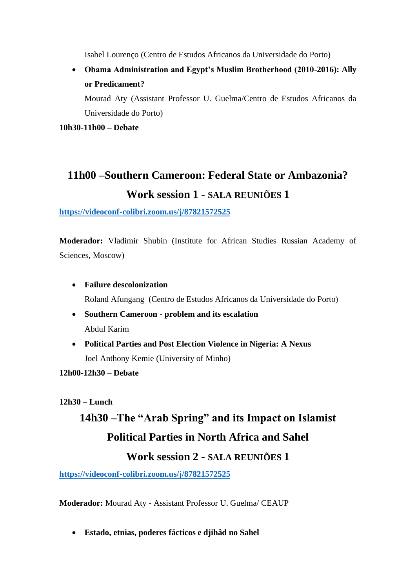Isabel Lourenço (Centro de Estudos Africanos da Universidade do Porto)

• **Obama Administration and Egypt's Muslim Brotherhood (2010-2016): Ally or Predicament?**

Mourad Aty (Assistant Professor U. Guelma/Centro de Estudos Africanos da Universidade do Porto)

**10h30-11h00 – Debate**

## **11h00 –Southern Cameroon: Federal State or Ambazonia? Work session 1 - SALA REUNIÕES 1**

#### **<https://videoconf-colibri.zoom.us/j/87821572525>**

**Moderador:** Vladimir Shubin (Institute for African Studies Russian Academy of Sciences, Moscow)

- **Failure descolonization** Roland Afungang (Centro de Estudos Africanos da Universidade do Porto)
- **Southern Cameroon - problem and its escalation** Abdul Karim
- **Political Parties and Post Election Violence in Nigeria: A Nexus** Joel Anthony Kemie (University of Minho)

**12h00-12h30 – Debate**

**12h30 – Lunch**

# **14h30 –The "Arab Spring" and its Impact on Islamist Political Parties in North Africa and Sahel Work session 2 - SALA REUNIÕES 1**

**<https://videoconf-colibri.zoom.us/j/87821572525>**

**Moderador:** Mourad Aty - Assistant Professor U. Guelma/ CEAUP

• **Estado, etnias, poderes fácticos e djihâd no Sahel**